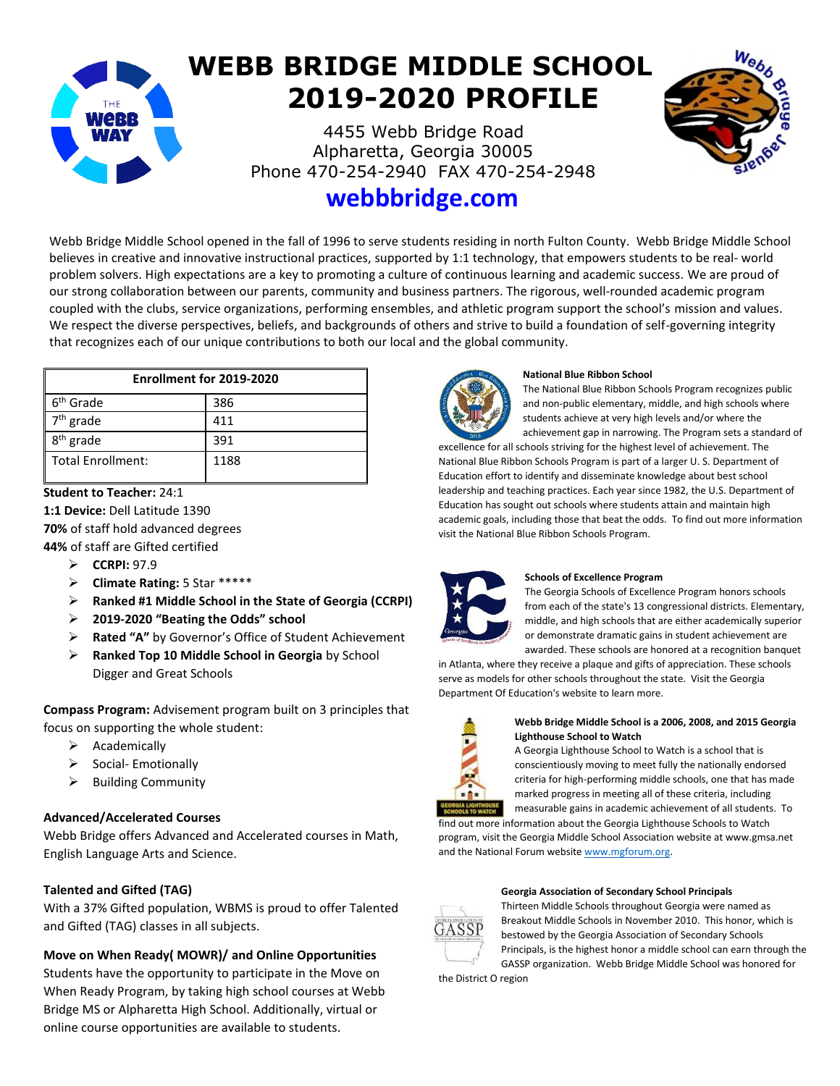# **WEBB BRIDGE MIDDLE SCHOOL 2019-2020 PROFILE**

4455 Webb Bridge Road Alpharetta, Georgia 30005 Phone 470-254-2940 FAX 470-254-2948



# **webbbridge.com**

Webb Bridge Middle School opened in the fall of 1996 to serve students residing in north Fulton County. Webb Bridge Middle School believes in creative and innovative instructional practices, supported by 1:1 technology, that empowers students to be real- world problem solvers. High expectations are a key to promoting a culture of continuous learning and academic success. We are proud of our strong collaboration between our parents, community and business partners. The rigorous, well-rounded academic program coupled with the clubs, service organizations, performing ensembles, and athletic program support the school's mission and values. We respect the diverse perspectives, beliefs, and backgrounds of others and strive to build a foundation of self-governing integrity that recognizes each of our unique contributions to both our local and the global community.

| Enrollment for 2019-2020 |      |
|--------------------------|------|
| 6 <sup>th</sup> Grade    | 386  |
| $7th$ grade              | 411  |
| 8 <sup>th</sup> grade    | 391  |
| Total Enrollment:        | 1188 |

# **Student to Teacher:** 24:1

**1:1 Device:** Dell Latitude 1390

**70%** of staff hold advanced degrees **44%** of staff are Gifted certified

- ➢ **CCRPI:** 97.9
- ➢ **Climate Rating:** 5 Star \*\*\*\*\*
- ➢ **Ranked #1 Middle School in the State of Georgia (CCRPI)**
- ➢ **2019-2020 "Beating the Odds" school**
- ➢ **Rated "A"** by Governor's Office of Student Achievement
- ➢ **Ranked Top 10 Middle School in Georgia** by School Digger and Great Schools

**Compass Program:** Advisement program built on 3 principles that focus on supporting the whole student:

- ➢ Academically
- ➢ Social- Emotionally
- ➢ Building Community

# **Advanced/Accelerated Courses**

Webb Bridge offers Advanced and Accelerated courses in Math, English Language Arts and Science.

# **Talented and Gifted (TAG)**

With a 37% Gifted population, WBMS is proud to offer Talented and Gifted (TAG) classes in all subjects.

# **Move on When Ready( MOWR)/ and Online Opportunities**

Students have the opportunity to participate in the Move on When Ready Program, by taking high school courses at Webb Bridge MS or Alpharetta High School. Additionally, virtual or online course opportunities are available to students.



#### **National Blue Ribbon School**

The National Blue Ribbon Schools Program recognizes public and non-public elementary, middle, and high schools where students achieve at very high levels and/or where the achievement gap in narrowing. The Program sets a standard of

excellence for all schools striving for the highest level of achievement. The National Blue Ribbon Schools Program is part of a larger U. S. Department of Education effort to identify and disseminate knowledge about best school leadership and teaching practices. Each year since 1982, the U.S. Department of Education has sought out schools where students attain and maintain high academic goals, including those that beat the odds. To find out more information visit the National Blue Ribbon Schools Program.



#### **Schools of Excellence Program**

The Georgia Schools of Excellence Program honors schools from each of the state's 13 congressional districts. Elementary, middle, and high schools that are either academically superior or demonstrate dramatic gains in student achievement are awarded. These schools are honored at a recognition banquet

in Atlanta, where they receive a plaque and gifts of appreciation. These schools serve as models for other schools throughout the state. Visit the Georgia Department Of Education's website to learn more.



#### **Webb Bridge Middle School is a 2006, 2008, and 2015 Georgia Lighthouse School to Watch**

A Georgia Lighthouse School to Watch is a school that is conscientiously moving to meet fully the nationally endorsed criteria for high-performing middle schools, one that has made marked progress in meeting all of these criteria, including

measurable gains in academic achievement of all students. To find out more information about the Georgia Lighthouse Schools to Watch program, visit the Georgia Middle School Association website at www.gmsa.net and the National Forum websit[e www.mgforum.org.](http://www.mgforum.org/)

# **Georgia Association of Secondary School Principals**



Thirteen Middle Schools throughout Georgia were named as Breakout Middle Schools in November 2010. This honor, which is bestowed by the Georgia Association of Secondary Schools Principals, is the highest honor a middle school can earn through the GASSP organization. Webb Bridge Middle School was honored for

the District O region